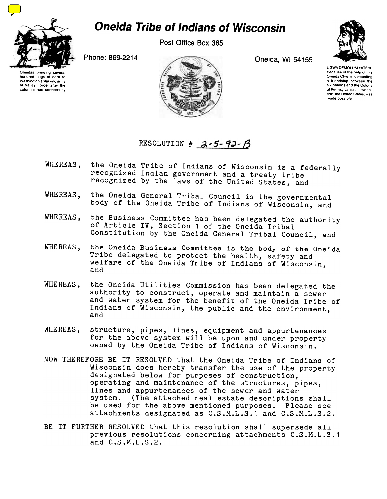

## Oneida Tribe of Indians of Wisconsin

Post Office Box 365



UGWA DEMOLUMYATEHE Because of the help of this Oneida Chief in cementing a friendship between the six nations and the Colony of Pennsylvania, a new na tion, the United States, was made possible

Oneidas bringing several hundred bags of corn to Washington's starving army at Valley Forge, after the colonists had consistently



## RESOLUTION #  $2 - 5 - 92 - 13$

- WHEREAS, the Oneida Tribe of Indians of Wisconsin is a federally recognized Indian government and a treaty tribe recognized by the laws of the United States, and
- the Oneida General Tribal Council is the governmental WHEREAS. body of the Oneida Tribe of Indians of Wisconsin, and
- WHEREAS, the Business Committee has been delegated the authority of Article IV, Section 1 of the Oneida Tribal Constitution by the Oneida General Tribal Council, and
- WHEREAS, the Oneida Business Committee is the body of the Oneida Tribe delegated to protect the health, safety and welfare of the Oneida Tribe of Indians of Wisconsin, and
- the Oneida Utilities Commission has been delegated the WHEREAS, authority to construct, operate and maintain a sewer and water system for the benefit of the Oneida Tribe of Indians of Wisconsin, the public and the environment, and
- WHEREAS, structure, pipes, lines, equipment and appurtenances for the above system will be upon and under property owned by the Oneida Tribe of Indians of Wisconsin.
- NOW THEREFORE BE IT RESOLVED that the Oneida Tribe of Indians of Wisconsin does hereby transfer the use of the property designated below for purposes of construction, operating and maintenance of the structures, pipes, lines and appurtenances of the sewer and water system. (The attached real estate descriptions shall be used for the above mentioned purposes. Please see attachments designated as C.S.M.L.S.1 and C.S.M.L.S.2.
- BE IT FURTHER RESOLVED that this resolution shall supersede all previous resolutions concerning attachments C.S.M.L.S.1 and C.S.M.L.S.2.